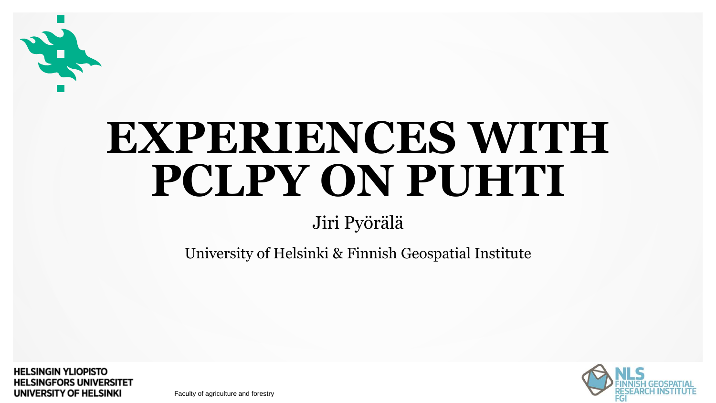

# **EXPERIENCES WITH PCLPY ON PUHTI**

### Jiri Pyörälä

University of Helsinki & Finnish Geospatial Institute

**HELSINGIN YLIOPISTO HELSINGFORS UNIVERSITET** UNIVERSITY OF HELSINKI

Faculty of agriculture and forestry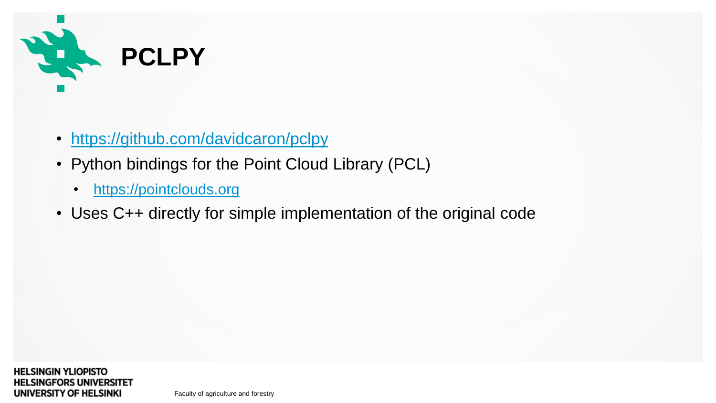

- <https://github.com/davidcaron/pclpy>
- Python bindings for the Point Cloud Library (PCL)
	- [https://pointclouds.org](https://pointclouds.org/)
- Uses C++ directly for simple implementation of the original code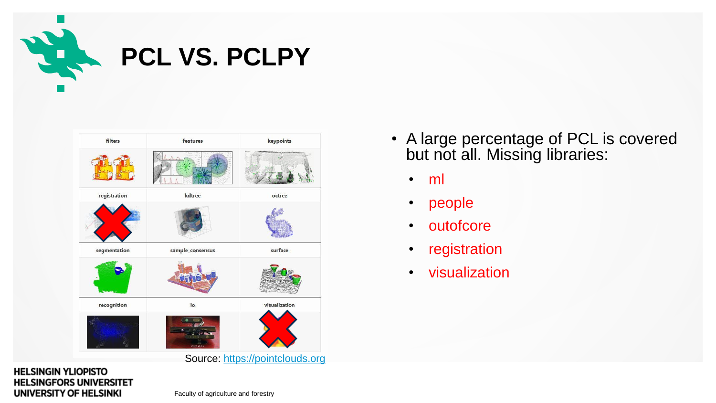

| filters      | <b>features</b>  | keypoints                       |
|--------------|------------------|---------------------------------|
|              |                  |                                 |
| registration | kdtree           | octree                          |
|              |                  |                                 |
| segmentation | sample_consensus | surface                         |
|              |                  |                                 |
| recognition  | io               | visualization                   |
|              | <b>CD</b> pct    |                                 |
|              |                  | Source: https://pointclouds.org |

### • A large percentage of PCL is covered but not all. Missing libraries:

- ml
- people
- outofcore
- registration
- visualization

#### **HELSINGIN YLIOPISTO HELSINGFORS UNIVERSITET** UNIVERSITY OF HELSINKI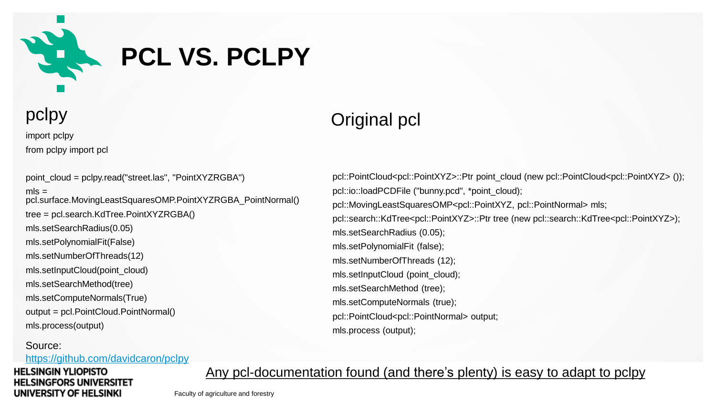

### **PCL VS. PCLPY**

import pclpy from pclpy import pcl

point\_cloud = pclpy.read("street.las", "PointXYZRGBA")  $mls =$ pcl.surface.MovingLeastSquaresOMP.PointXYZRGBA\_PointNormal() tree = pcl.search.KdTree.PointXYZRGBA() mls.setSearchRadius(0.05) mls.setPolynomialFit(False) mls.setNumberOfThreads(12) mls.setInputCloud(point\_cloud) mls.setSearchMethod(tree) mls.setComputeNormals(True) output = pcl.PointCloud.PointNormal() mls.process(output)

#### Source:

<https://github.com/davidcaron/pclpy>

#### **HELSINGIN YLIOPISTO HELSINGFORS UNIVERSITET** UNIVERSITY OF HELSINKI

### pclpy **Original pcl**

pcl::PointCloud<pcl::PointXYZ>::Ptr point\_cloud (new pcl::PointCloud<pcl::PointXYZ> ()); pcl::io::loadPCDFile ("bunny.pcd", \*point\_cloud); pcl::MovingLeastSquaresOMP<pcl::PointXYZ, pcl::PointNormal> mls; pcl::search::KdTree<pcl::PointXYZ>::Ptr tree (new pcl::search::KdTree<pcl::PointXYZ>); mls.setSearchRadius (0.05); mls.setPolynomialFit (false); mls.setNumberOfThreads (12); mls.setInputCloud (point\_cloud); mls.setSearchMethod (tree); mls.setComputeNormals (true); pcl::PointCloud<pcl::PointNormal> output; mls.process (output);

Any pcl-documentation found (and there's plenty) is easy to adapt to pclpy

Faculty of agriculture and forestry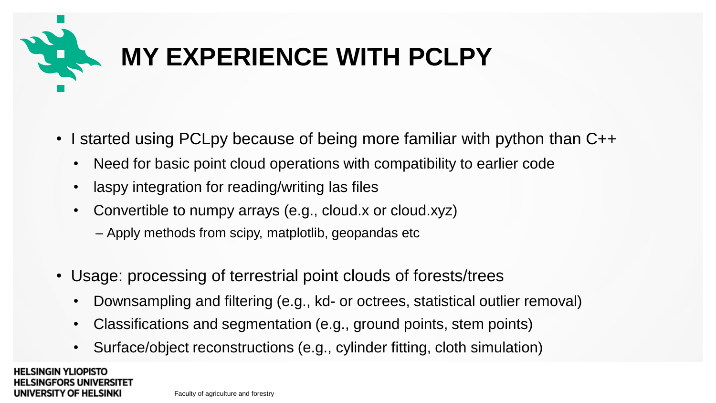

## **MY EXPERIENCE WITH PCLPY**

- I started using PCLpy because of being more familiar with python than C++
	- Need for basic point cloud operations with compatibility to earlier code
	- laspy integration for reading/writing las files
	- Convertible to numpy arrays (e.g., cloud.x or cloud.xyz)
		- ‒ Apply methods from scipy, matplotlib, geopandas etc
- Usage: processing of terrestrial point clouds of forests/trees
	- Downsampling and filtering (e.g., kd- or octrees, statistical outlier removal)
	- Classifications and segmentation (e.g., ground points, stem points)
	- Surface/object reconstructions (e.g., cylinder fitting, cloth simulation)

**HELSINGIN YLIOPISTO** LSINGFORS UNIVERSITET UNIVERSITY OF HELSINKI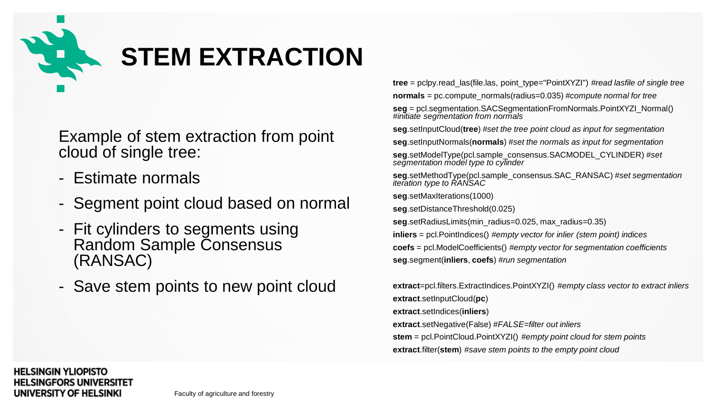

Example of stem extraction from point cloud of single tree:

- Estimate normals
- Segment point cloud based on normal
- Fit cylinders to segments using Random Sample Consensus (RANSAC)
- Save stem points to new point cloud

**tree** = pclpy.read\_las(file.las, point\_type="PointXYZI") *#read lasfile of single tree* **normals** = pc.compute\_normals(radius=0.035) *#compute normal for tree*

**seg** = pcl.segmentation.SACSegmentationFromNormals.PointXYZI\_Normal() *#initiate segmentation from normals*

**seg**.setInputCloud(**tree**) *#set the tree point cloud as input for segmentation*

**seg**.setInputNormals(**normals**) *#set the normals as input for segmentation*

**seg**.setModelType(pcl.sample\_consensus.SACMODEL\_CYLINDER) *#set segmentation model type to cylinder*

**seg**.setMethodType(pcl.sample\_consensus.SAC\_RANSAC) *#set segmentation iteration type to RANSAC*

**seg**.setMaxIterations(1000)

**seg**.setDistanceThreshold(0.025)

**seg**.setRadiusLimits(min\_radius=0.025, max\_radius=0.35)

**inliers** = pcl.PointIndices() *#empty vector for inlier (stem point) indices* **coefs** = pcl.ModelCoefficients() *#empty vector for segmentation coefficients* **seg**.segment(**inliers**, **coefs**) *#run segmentation*

**extract**=pcl.filters.ExtractIndices.PointXYZI() *#empty class vector to extract inliers* **extract**.setInputCloud(**pc**) **extract**.setIndices(**inliers**) **extract**.setNegative(False) *#FALSE=filter out inliers* **stem** = pcl.PointCloud.PointXYZI() *#empty point cloud for stem points* **extract**.filter(**stem**) *#save stem points to the empty point cloud*

#### **HELSINGIN YLIOPISTO HELSINGFORS UNIVERSITET** UNIVERSITY OF HELSINKI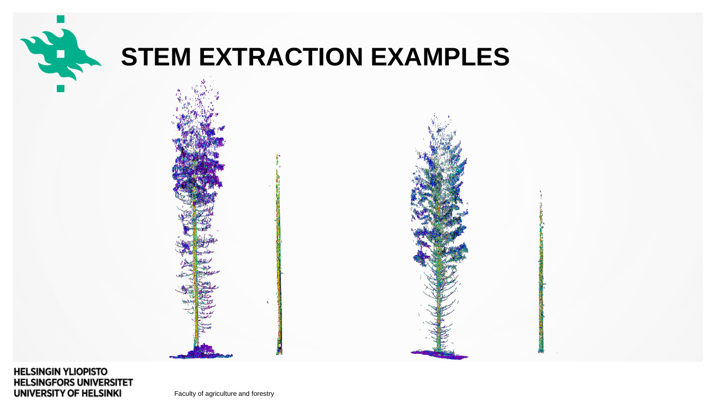

### **STEM EXTRACTION EXAMPLES**



#### **HELSINGIN YLIOPISTO HELSINGFORS UNIVERSITET** UNIVERSITY OF HELSINKI

Faculty of agriculture and forestry